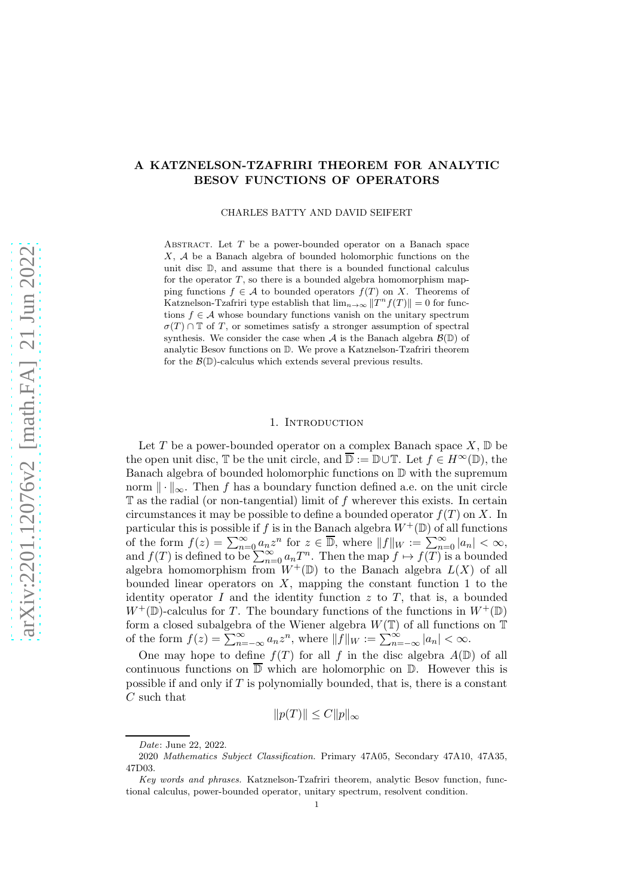# A KATZNELSON-TZAFRIRI THEOREM FOR ANALYTIC BESOV FUNCTIONS OF OPERATORS

### CHARLES BATTY AND DAVID SEIFERT

ABSTRACT. Let  $T$  be a power-bounded operator on a Banach space  $X, A$  be a Banach algebra of bounded holomorphic functions on the unit disc D, and assume that there is a bounded functional calculus for the operator  $T$ , so there is a bounded algebra homomorphism mapping functions  $f \in \mathcal{A}$  to bounded operators  $f(T)$  on X. Theorems of Katznelson-Tzafriri type establish that  $\lim_{n\to\infty} ||T^n f(T)|| = 0$  for functions  $f \in \mathcal{A}$  whose boundary functions vanish on the unitary spectrum  $\sigma(T) \cap \mathbb{T}$  of T, or sometimes satisfy a stronger assumption of spectral synthesis. We consider the case when A is the Banach algebra  $\mathcal{B}(\mathbb{D})$  of analytic Besov functions on D. We prove a Katznelson-Tzafriri theorem for the  $\mathcal{B}(\mathbb{D})$ -calculus which extends several previous results.

#### 1. INTRODUCTION

Let T be a power-bounded operator on a complex Banach space  $X, \mathbb{D}$  be the open unit disc,  $\mathbb T$  be the unit circle, and  $\overline{\mathbb D} := \mathbb D \cup \mathbb T$ . Let  $f \in H^{\infty}(\mathbb D)$ , the Banach algebra of bounded holomorphic functions on D with the supremum norm  $\|\cdot\|_{\infty}$ . Then f has a boundary function defined a.e. on the unit circle  $\mathbb T$  as the radial (or non-tangential) limit of f wherever this exists. In certain circumstances it may be possible to define a bounded operator  $f(T)$  on X. In particular this is possible if f is in the Banach algebra  $W^+(\mathbb{D})$  of all functions of the form  $f(z) = \sum_{n=0}^{\infty} a_n z^n$  for  $z \in \overline{\mathbb{D}}$ , where  $||f||_W := \sum_{n=0}^{\infty} |a_n| < \infty$ , and  $f(T)$  is defined to be  $\sum_{n=0}^{\infty} a_n T^n$ . Then the map  $f \mapsto f(T)$  is a bounded algebra homomorphism from  $W^+(\mathbb{D})$  to the Banach algebra  $L(X)$  of all bounded linear operators on  $X$ , mapping the constant function 1 to the identity operator  $I$  and the identity function  $z$  to  $T$ , that is, a bounded  $W^+(\mathbb{D})$ -calculus for T. The boundary functions of the functions in  $W^+(\mathbb{D})$ form a closed subalgebra of the Wiener algebra  $W(\mathbb{T})$  of all functions on  $\mathbb{T}$ of the form  $f(z) = \sum_{n=-\infty}^{\infty} a_n z^n$ , where  $||\overline{f}||_W := \sum_{n=-\infty}^{\infty} |a_n| < \infty$ .

One may hope to define  $f(T)$  for all f in the disc algebra  $A(\mathbb{D})$  of all continuous functions on  $\overline{D}$  which are holomorphic on  $D$ . However this is possible if and only if  $T$  is polynomially bounded, that is, there is a constant  $C$  such that

$$
||p(T)|| \le C ||p||_{\infty}
$$

*Date*: June 22, 2022.

<sup>2020</sup> *Mathematics Subject Classification.* Primary 47A05, Secondary 47A10, 47A35, 47D03.

*Key words and phrases.* Katznelson-Tzafriri theorem, analytic Besov function, functional calculus, power-bounded operator, unitary spectrum, resolvent condition.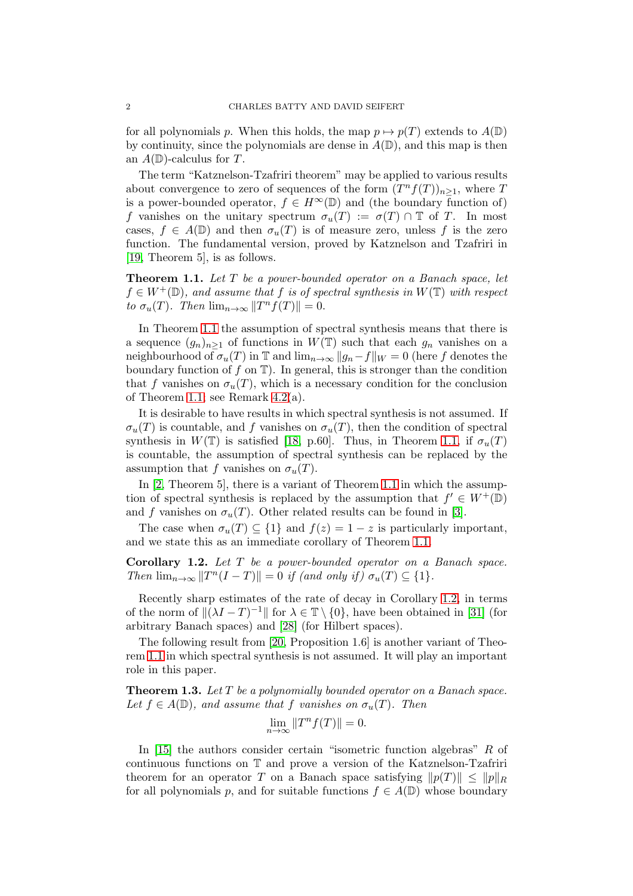for all polynomials p. When this holds, the map  $p \mapsto p(T)$  extends to  $A(\mathbb{D})$ by continuity, since the polynomials are dense in  $A(\mathbb{D})$ , and this map is then an  $A(\mathbb{D})$ -calculus for T.

The term "Katznelson-Tzafriri theorem" may be applied to various results about convergence to zero of sequences of the form  $(T^n f(T))_{n \geq 1}$ , where T is a power-bounded operator,  $f \in H^{\infty}(\mathbb{D})$  and (the boundary function of) f vanishes on the unitary spectrum  $\sigma_u(T) := \sigma(T) \cap \mathbb{T}$  of T. In most cases,  $f \in A(\mathbb{D})$  and then  $\sigma_u(T)$  is of measure zero, unless f is the zero function. The fundamental version, proved by Katznelson and Tzafriri in [\[19,](#page-15-0) Theorem 5], is as follows.

<span id="page-1-0"></span>Theorem 1.1. *Let* T *be a power-bounded operator on a Banach space, let*  $f \in W^+(\mathbb{D})$ , and assume that f is of spectral synthesis in  $W(\mathbb{T})$  with respect *to*  $\sigma_u(T)$ *.* Then  $\lim_{n\to\infty} ||T^n f(T)|| = 0$ .

In Theorem [1.1](#page-1-0) the assumption of spectral synthesis means that there is a sequence  $(g_n)_{n>1}$  of functions in  $W(\mathbb{T})$  such that each  $g_n$  vanishes on a neighbourhood of  $\sigma_u(T)$  in T and  $\lim_{n\to\infty} ||g_n-f||_W = 0$  (here f denotes the boundary function of  $f$  on  $\mathbb{T}$ ). In general, this is stronger than the condition that f vanishes on  $\sigma_u(T)$ , which is a necessary condition for the conclusion of Theorem [1.1;](#page-1-0) see Remark [4.2\(](#page-14-0)a).

It is desirable to have results in which spectral synthesis is not assumed. If  $\sigma_u(T)$  is countable, and f vanishes on  $\sigma_u(T)$ , then the condition of spectral synthesis in  $W(T)$  is satisfied [\[18,](#page-15-1) p.60]. Thus, in Theorem [1.1,](#page-1-0) if  $\sigma_u(T)$ is countable, the assumption of spectral synthesis can be replaced by the assumption that f vanishes on  $\sigma_u(T)$ .

In [\[2,](#page-14-1) Theorem 5], there is a variant of Theorem [1.1](#page-1-0) in which the assumption of spectral synthesis is replaced by the assumption that  $f' \in W^+(\mathbb{D})$ and f vanishes on  $\sigma_u(T)$ . Other related results can be found in [\[3\]](#page-14-2).

The case when  $\sigma_u(T) \subseteq \{1\}$  and  $f(z) = 1 - z$  is particularly important, and we state this as an immediate corollary of Theorem [1.1.](#page-1-0)

<span id="page-1-1"></span>Corollary 1.2. *Let* T *be a power-bounded operator on a Banach space. Then*  $\lim_{n\to\infty}$   $||T^n(I-T)|| = 0$  *if (and only if)*  $\sigma_u(T) \subseteq \{1\}.$ 

Recently sharp estimates of the rate of decay in Corollary [1.2,](#page-1-1) in terms of the norm of  $\|(\lambda I - T)^{-1}\|$  for  $\lambda \in \mathbb{T} \setminus \{0\}$ , have been obtained in [\[31\]](#page-15-2) (for arbitrary Banach spaces) and [\[28\]](#page-15-3) (for Hilbert spaces).

The following result from [\[20,](#page-15-4) Proposition 1.6] is another variant of Theorem [1.1](#page-1-0) in which spectral synthesis is not assumed. It will play an important role in this paper.

<span id="page-1-2"></span>Theorem 1.3. *Let* T *be a polynomially bounded operator on a Banach space.* Let  $f \in A(\mathbb{D})$ , and assume that f *vanishes on*  $\sigma_u(T)$ . Then

$$
\lim_{n \to \infty} ||T^n f(T)|| = 0.
$$

In [\[15\]](#page-15-5) the authors consider certain "isometric function algebras" R of continuous functions on T and prove a version of the Katznelson-Tzafriri theorem for an operator T on a Banach space satisfying  $||p(T)|| \le ||p||_R$ for all polynomials p, and for suitable functions  $f \in A(\mathbb{D})$  whose boundary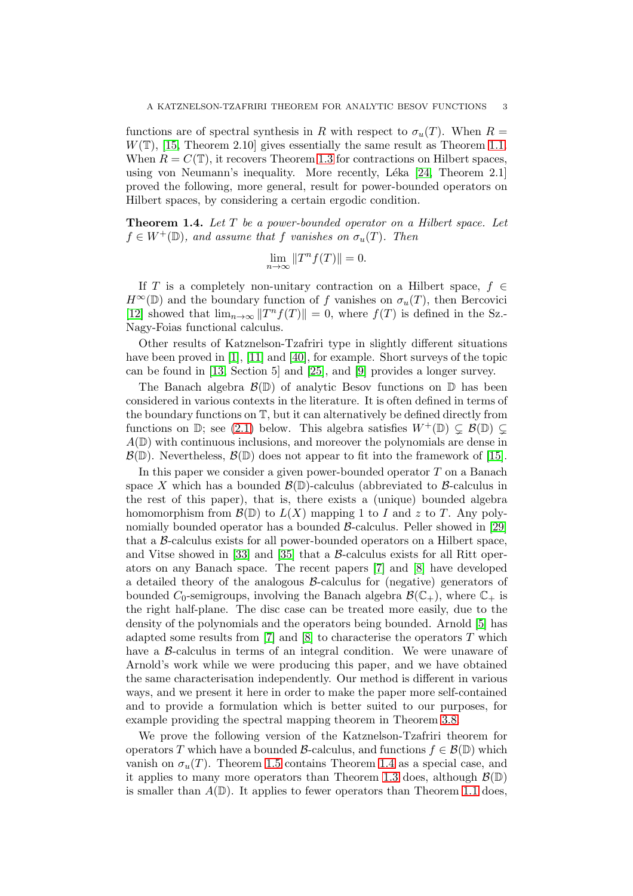functions are of spectral synthesis in R with respect to  $\sigma_u(T)$ . When  $R =$  $W(\mathbb{T})$ , [\[15,](#page-15-5) Theorem 2.10] gives essentially the same result as Theorem [1.1.](#page-1-0) When  $R = C(\mathbb{T})$ , it recovers Theorem [1.3](#page-1-2) for contractions on Hilbert spaces, using von Neumann's inequality. More recently, Léka  $[24,$  Theorem 2.1] proved the following, more general, result for power-bounded operators on Hilbert spaces, by considering a certain ergodic condition.

<span id="page-2-0"></span>Theorem 1.4. *Let* T *be a power-bounded operator on a Hilbert space. Let*  $f \in W^+(\mathbb{D})$ , and assume that f vanishes on  $\sigma_u(T)$ . Then

$$
\lim_{n \to \infty} \|T^n f(T)\| = 0.
$$

If T is a completely non-unitary contraction on a Hilbert space,  $f \in$  $H^{\infty}(\mathbb{D})$  and the boundary function of f vanishes on  $\sigma_u(T)$ , then Bercovici [\[12\]](#page-15-7) showed that  $\lim_{n\to\infty} ||T^n f(T)|| = 0$ , where  $f(T)$  is defined in the Sz.-Nagy-Foias functional calculus.

Other results of Katznelson-Tzafriri type in slightly different situations have been proved in [\[1\]](#page-14-3), [\[11\]](#page-15-8) and [\[40\]](#page-16-0), for example. Short surveys of the topic can be found in [\[13,](#page-15-9) Section 5] and [\[25\]](#page-15-10), and [\[9\]](#page-15-11) provides a longer survey.

The Banach algebra  $\mathcal{B}(\mathbb{D})$  of analytic Besov functions on  $\mathbb D$  has been considered in various contexts in the literature. It is often defined in terms of the boundary functions on T, but it can alternatively be defined directly from functions on  $\mathbb{D}$ ; see [\(2.1\)](#page-3-0) below. This algebra satisfies  $W^+(\mathbb{D}) \subsetneq \mathcal{B}(\mathbb{D}) \subsetneq$  $A(\mathbb{D})$  with continuous inclusions, and moreover the polynomials are dense in  $\mathcal{B}(\mathbb{D})$ . Nevertheless,  $\mathcal{B}(\mathbb{D})$  does not appear to fit into the framework of [\[15\]](#page-15-5).

In this paper we consider a given power-bounded operator  $T$  on a Banach space X which has a bounded  $\mathcal{B}(\mathbb{D})$ -calculus (abbreviated to  $\mathcal{B}$ -calculus in the rest of this paper), that is, there exists a (unique) bounded algebra homomorphism from  $\mathcal{B}(\mathbb{D})$  to  $L(X)$  mapping 1 to I and z to T. Any polynomially bounded operator has a bounded  $\beta$ -calculus. Peller showed in [\[29\]](#page-15-12) that a  $\beta$ -calculus exists for all power-bounded operators on a Hilbert space, and Vitse showed in [\[33\]](#page-16-1) and [\[35\]](#page-16-2) that a  $\beta$ -calculus exists for all Ritt operators on any Banach space. The recent papers [\[7\]](#page-15-13) and [\[8\]](#page-15-14) have developed a detailed theory of the analogous B-calculus for (negative) generators of bounded  $C_0$ -semigroups, involving the Banach algebra  $\mathcal{B}(\mathbb{C}_+)$ , where  $\mathbb{C}_+$  is the right half-plane. The disc case can be treated more easily, due to the density of the polynomials and the operators being bounded. Arnold [\[5\]](#page-14-4) has adapted some results from  $[7]$  and  $[8]$  to characterise the operators T which have a  $\beta$ -calculus in terms of an integral condition. We were unaware of Arnold's work while we were producing this paper, and we have obtained the same characterisation independently. Our method is different in various ways, and we present it here in order to make the paper more self-contained and to provide a formulation which is better suited to our purposes, for example providing the spectral mapping theorem in Theorem [3.8.](#page-12-0)

We prove the following version of the Katznelson-Tzafriri theorem for operators T which have a bounded B-calculus, and functions  $f \in \mathcal{B}(\mathbb{D})$  which vanish on  $\sigma_u(T)$ . Theorem [1.5](#page-3-1) contains Theorem [1.4](#page-2-0) as a special case, and it applies to many more operators than Theorem [1.3](#page-1-2) does, although  $\mathcal{B}(\mathbb{D})$ is smaller than  $A(\mathbb{D})$ . It applies to fewer operators than Theorem [1.1](#page-1-0) does,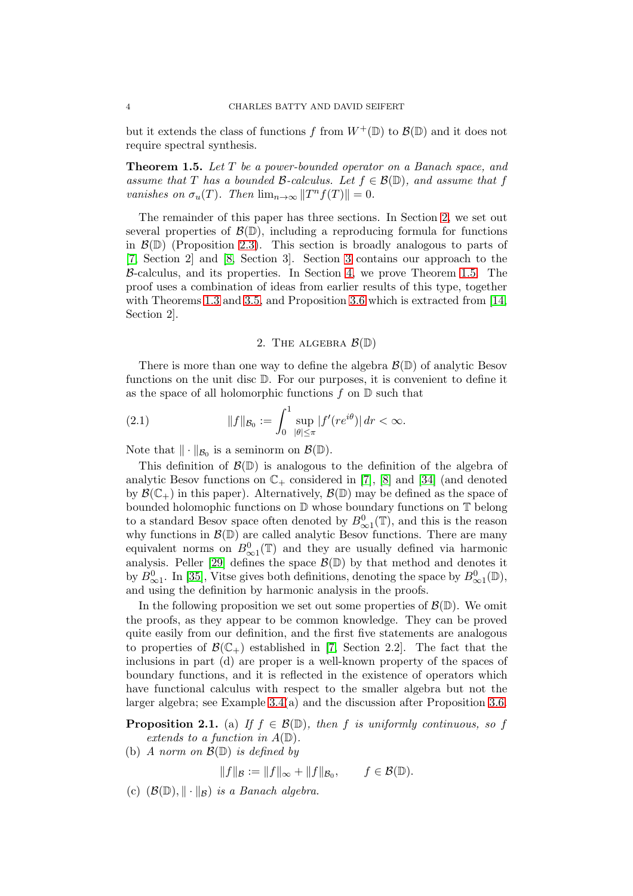but it extends the class of functions f from  $W^+(\mathbb{D})$  to  $\mathcal{B}(\mathbb{D})$  and it does not require spectral synthesis.

<span id="page-3-1"></span>Theorem 1.5. *Let* T *be a power-bounded operator on a Banach space, and assume that* T *has a bounded* B-calculus. Let  $f \in \mathcal{B}(\mathbb{D})$ , and assume that f *vanishes on*  $\sigma_u(T)$ *. Then*  $\lim_{n\to\infty} ||T^n f(T)|| = 0$ *.* 

The remainder of this paper has three sections. In Section [2,](#page-3-2) we set out several properties of  $\mathcal{B}(\mathbb{D})$ , including a reproducing formula for functions in  $\mathcal{B}(\mathbb{D})$  (Proposition [2.3\)](#page-5-0). This section is broadly analogous to parts of [\[7,](#page-15-13) Section 2] and [\[8,](#page-15-14) Section 3]. Section [3](#page-8-0) contains our approach to the B-calculus, and its properties. In Section [4,](#page-13-0) we prove Theorem [1.5.](#page-3-1) The proof uses a combination of ideas from earlier results of this type, together with Theorems [1.3](#page-1-2) and [3.5,](#page-10-0) and Proposition [3.6](#page-11-0) which is extracted from [\[14,](#page-15-15) Section 2].

## <span id="page-3-0"></span>2. THE ALGEBRA  $\mathcal{B}(\mathbb{D})$

<span id="page-3-2"></span>There is more than one way to define the algebra  $\mathcal{B}(\mathbb{D})$  of analytic Besov functions on the unit disc D. For our purposes, it is convenient to define it as the space of all holomorphic functions  $f$  on  $\mathbb D$  such that

(2.1) 
$$
||f||_{\mathcal{B}_0} := \int_0^1 \sup_{|\theta| \le \pi} |f'(re^{i\theta})| dr < \infty.
$$

Note that  $\|\cdot\|_{\mathcal{B}_0}$  is a seminorm on  $\mathcal{B}(\mathbb{D})$ .

This definition of  $\mathcal{B}(\mathbb{D})$  is analogous to the definition of the algebra of analytic Besov functions on  $\mathbb{C}_+$  considered in [\[7\]](#page-15-13), [\[8\]](#page-15-14) and [\[34\]](#page-16-3) (and denoted by  $\mathcal{B}(\mathbb{C}_+)$  in this paper). Alternatively,  $\mathcal{B}(\mathbb{D})$  may be defined as the space of bounded holomophic functions on D whose boundary functions on T belong to a standard Besov space often denoted by  $B^0_{\infty}(\mathbb{T})$ , and this is the reason why functions in  $\mathcal{B}(\mathbb{D})$  are called analytic Besov functions. There are many equivalent norms on  $B^0_{\infty 1}(\mathbb{T})$  and they are usually defined via harmonic analysis. Peller [\[29\]](#page-15-12) defines the space  $\mathcal{B}(\mathbb{D})$  by that method and denotes it by  $B^0_{\infty 1}$ . In [\[35\]](#page-16-2), Vitse gives both definitions, denoting the space by  $B^0_{\infty 1}(\mathbb{D})$ , and using the definition by harmonic analysis in the proofs.

In the following proposition we set out some properties of  $\mathcal{B}(\mathbb{D})$ . We omit the proofs, as they appear to be common knowledge. They can be proved quite easily from our definition, and the first five statements are analogous to properties of  $\mathcal{B}(\mathbb{C}_+)$  established in [\[7,](#page-15-13) Section 2.2]. The fact that the inclusions in part (d) are proper is a well-known property of the spaces of boundary functions, and it is reflected in the existence of operators which have functional calculus with respect to the smaller algebra but not the larger algebra; see Example [3.4\(](#page-10-1)a) and the discussion after Proposition [3.6.](#page-11-0)

<span id="page-3-3"></span>**Proposition 2.1.** (a) *If*  $f \in \mathcal{B}(\mathbb{D})$ *, then f is uniformly continuous, so f extends to a function in* A(D)*.*

(b) *A norm on* B(D) *is defined by*

 $||f||_{\mathcal{B}} := ||f||_{\infty} + ||f||_{\mathcal{B}_0}, \quad f \in \mathcal{B}(\mathbb{D}).$ 

(c)  $(\mathcal{B}(\mathbb{D}), \|\cdot\|_{\mathcal{B}})$  *is a Banach algebra.*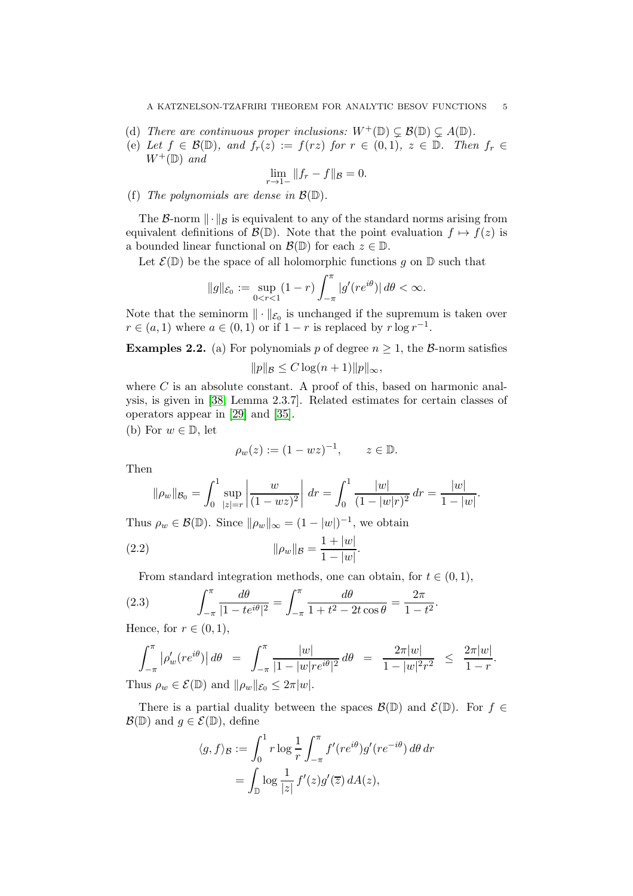- (d) *There are continuous proper inclusions:*  $W^+(\mathbb{D}) \subsetneq \mathcal{B}(\mathbb{D}) \subsetneq A(\mathbb{D})$ *.*
- (e) Let  $f \in \mathcal{B}(\mathbb{D})$ , and  $f_r(z) := f(rz)$  for  $r \in (0,1)$ ,  $z \in \mathbb{D}$ . Then  $f_r \in$  $W^+(\mathbb{D})$  *and*

$$
\lim_{r \to 1-} \|f_r - f\|_{\mathcal{B}} = 0.
$$

(f) *The polynomials are dense in*  $\mathcal{B}(\mathbb{D})$ *.* 

The B-norm  $\|\cdot\|_{\mathcal{B}}$  is equivalent to any of the standard norms arising from equivalent definitions of  $\mathcal{B}(\mathbb{D})$ . Note that the point evaluation  $f \mapsto f(z)$  is a bounded linear functional on  $\mathcal{B}(\mathbb{D})$  for each  $z \in \mathbb{D}$ .

Let  $\mathcal{E}(\mathbb{D})$  be the space of all holomorphic functions g on  $\mathbb D$  such that

$$
\|g\|_{\mathcal{E}_0}:=\sup_{0
$$

Note that the seminorm  $\|\cdot\|_{\mathcal{E}_0}$  is unchanged if the supremum is taken over  $r \in (a, 1)$  where  $a \in (0, 1)$  or if  $1 - r$  is replaced by  $r \log r^{-1}$ .

**Examples 2.2.** (a) For polynomials p of degree  $n \geq 1$ , the B-norm satisfies

$$
||p||_{\mathcal{B}} \leq C \log(n+1) ||p||_{\infty},
$$

where  $C$  is an absolute constant. A proof of this, based on harmonic analysis, is given in [\[38,](#page-16-4) Lemma 2.3.7]. Related estimates for certain classes of operators appear in [\[29\]](#page-15-12) and [\[35\]](#page-16-2).

(b) For  $w \in \mathbb{D}$ , let

<span id="page-4-0"></span>
$$
\rho_w(z) := (1 - wz)^{-1}, \qquad z \in \mathbb{D}.
$$

Then

$$
\|\rho_w\|_{\mathcal{B}_0} = \int_0^1 \sup_{|z|=r} \left| \frac{w}{(1-wz)^2} \right| \, dr = \int_0^1 \frac{|w|}{(1-|w|r)^2} \, dr = \frac{|w|}{1-|w|}.
$$

Thus  $\rho_w \in \mathcal{B}(\mathbb{D})$ . Since  $\|\rho_w\|_{\infty} = (1 - |w|)^{-1}$ , we obtain

(2.2) 
$$
\|\rho_w\|_{\mathcal{B}} = \frac{1+|w|}{1-|w|}.
$$

<span id="page-4-1"></span>From standard integration methods, one can obtain, for  $t \in (0, 1)$ ,

(2.3) 
$$
\int_{-\pi}^{\pi} \frac{d\theta}{|1 - te^{i\theta}|^2} = \int_{-\pi}^{\pi} \frac{d\theta}{1 + t^2 - 2t\cos\theta} = \frac{2\pi}{1 - t^2}
$$

Hence, for  $r \in (0,1)$ ,

$$
\int_{-\pi}^{\pi} |\rho'_{w}(re^{i\theta})| d\theta = \int_{-\pi}^{\pi} \frac{|w|}{|1 - |w| re^{i\theta}|^2} d\theta = \frac{2\pi |w|}{1 - |w|^2 r^2} \le \frac{2\pi |w|}{1 - r}.
$$

.

Thus  $\rho_w \in \mathcal{E}(\mathbb{D})$  and  $\|\rho_w\|_{\mathcal{E}_0} \leq 2\pi|w|.$ 

There is a partial duality between the spaces  $\mathcal{B}(\mathbb{D})$  and  $\mathcal{E}(\mathbb{D})$ . For  $f \in$  $\mathcal{B}(\mathbb{D})$  and  $g \in \mathcal{E}(\mathbb{D})$ , define

$$
\langle g, f \rangle_{\mathcal{B}} := \int_0^1 r \log \frac{1}{r} \int_{-\pi}^{\pi} f'(re^{i\theta}) g'(re^{-i\theta}) d\theta dr
$$

$$
= \int_{\mathbb{D}} \log \frac{1}{|z|} f'(z) g'(\overline{z}) dA(z),
$$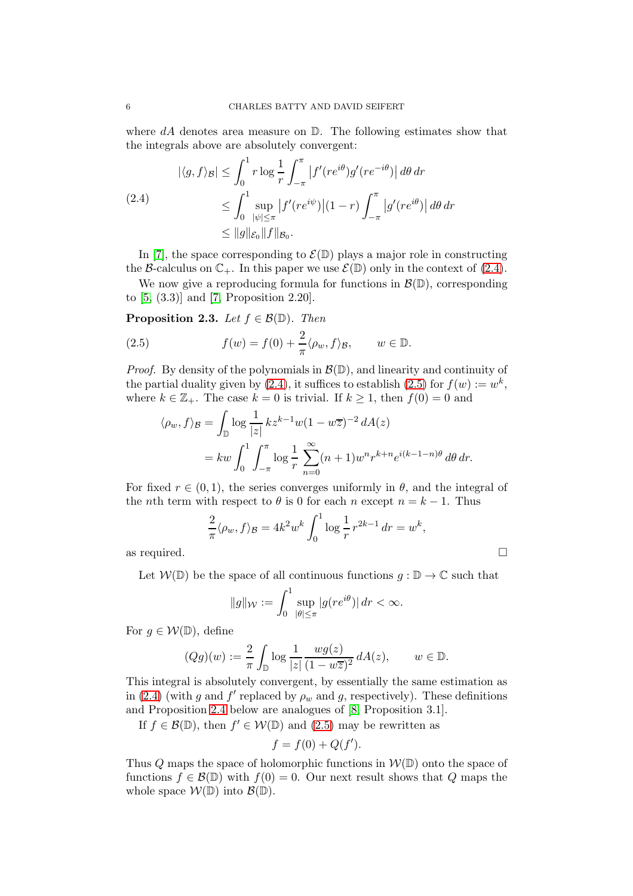where  $dA$  denotes area measure on  $\mathbb{D}$ . The following estimates show that the integrals above are absolutely convergent:

<span id="page-5-1"></span>
$$
|\langle g, f \rangle_{\mathcal{B}}| \leq \int_0^1 r \log \frac{1}{r} \int_{-\pi}^{\pi} |f'(re^{i\theta})g'(re^{-i\theta})| d\theta dr
$$
  
(2.4)  

$$
\leq \int_0^1 \sup_{|\psi| \leq \pi} |f'(re^{i\psi})|(1-r) \int_{-\pi}^{\pi} |g'(re^{i\theta})| d\theta dr
$$
  

$$
\leq \|g\|_{\mathcal{E}_0} \|f\|_{\mathcal{B}_0}.
$$

In [\[7\]](#page-15-13), the space corresponding to  $\mathcal{E}(\mathbb{D})$  plays a major role in constructing the B-calculus on  $\mathbb{C}_+$ . In this paper we use  $\mathcal{E}(\mathbb{D})$  only in the context of [\(2.4\)](#page-5-1).

We now give a reproducing formula for functions in  $\mathcal{B}(\mathbb{D})$ , corresponding to [\[5,](#page-14-4) (3.3)] and [\[7,](#page-15-13) Proposition 2.20].

<span id="page-5-0"></span>**Proposition 2.3.** *Let*  $f \in \mathcal{B}(\mathbb{D})$ *. Then* 

(2.5) 
$$
f(w) = f(0) + \frac{2}{\pi} \langle \rho_w, f \rangle_{\mathcal{B}}, \qquad w \in \mathbb{D}.
$$

*Proof.* By density of the polynomials in  $\mathcal{B}(\mathbb{D})$ , and linearity and continuity of the partial duality given by [\(2.4\)](#page-5-1), it suffices to establish [\(2.5\)](#page-5-2) for  $f(w) := w^k$ , where  $k \in \mathbb{Z}_+$ . The case  $k = 0$  is trivial. If  $k \geq 1$ , then  $f(0) = 0$  and

<span id="page-5-2"></span>
$$
\langle \rho_w, f \rangle_{\mathcal{B}} = \int_{\mathbb{D}} \log \frac{1}{|z|} k z^{k-1} w (1 - w\overline{z})^{-2} dA(z)
$$
  
=  $kw \int_0^1 \int_{-\pi}^{\pi} \log \frac{1}{r} \sum_{n=0}^{\infty} (n+1) w^n r^{k+n} e^{i(k-1-n)\theta} d\theta dr.$ 

For fixed  $r \in (0,1)$ , the series converges uniformly in  $\theta$ , and the integral of the *n*th term with respect to  $\theta$  is 0 for each *n* except  $n = k - 1$ . Thus

$$
\frac{2}{\pi} \langle \rho_w, f \rangle_{\mathcal{B}} = 4k^2 w^k \int_0^1 \log \frac{1}{r} r^{2k-1} dr = w^k,
$$

as required.  $\Box$ 

Let  $W(\mathbb{D})$  be the space of all continuous functions  $g : \mathbb{D} \to \mathbb{C}$  such that

$$
||g||_{\mathcal{W}} := \int_0^1 \sup_{|\theta| \le \pi} |g(re^{i\theta})| \, dr < \infty.
$$

For  $g \in \mathcal{W}(\mathbb{D})$ , define

$$
(Qg)(w) := \frac{2}{\pi} \int_{\mathbb{D}} \log \frac{1}{|z|} \frac{wg(z)}{(1 - w\overline{z})^2} dA(z), \qquad w \in \mathbb{D}.
$$

This integral is absolutely convergent, by essentially the same estimation as in [\(2.4\)](#page-5-1) (with g and f' replaced by  $\rho_w$  and g, respectively). These definitions and Proposition 2.4 below are analogues of [\[8,](#page-15-14) Proposition 3.1].

If 
$$
f \in \mathcal{B}(\mathbb{D})
$$
, then  $f' \in \mathcal{W}(\mathbb{D})$  and (2.5) may be rewritten as

$$
f = f(0) + Q(f').
$$

Thus Q maps the space of holomorphic functions in  $\mathcal{W}(\mathbb{D})$  onto the space of functions  $f \in \mathcal{B}(\mathbb{D})$  with  $f(0) = 0$ . Our next result shows that Q maps the whole space  $W(\mathbb{D})$  into  $\mathcal{B}(\mathbb{D})$ .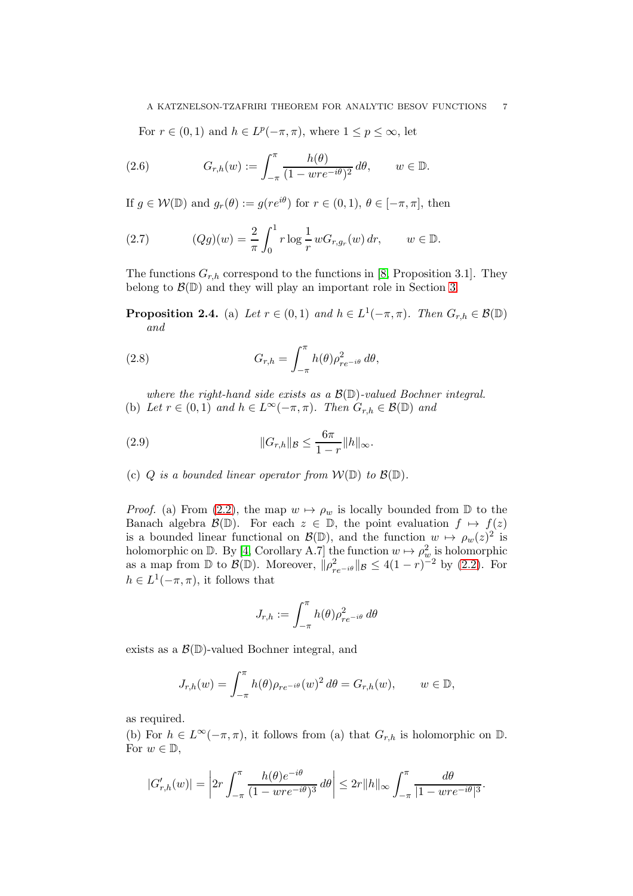<span id="page-6-2"></span>For  $r \in (0,1)$  and  $h \in L^p(-\pi,\pi)$ , where  $1 \le p \le \infty$ , let

(2.6) 
$$
G_{r,h}(w) := \int_{-\pi}^{\pi} \frac{h(\theta)}{(1 - wre^{-i\theta})^2} d\theta, \qquad w \in \mathbb{D}.
$$

If  $g \in \mathcal{W}(\mathbb{D})$  and  $g_r(\theta) := g(re^{i\theta})$  for  $r \in (0,1), \theta \in [-\pi, \pi]$ , then

<span id="page-6-1"></span>(2.7) 
$$
(Qg)(w) = \frac{2}{\pi} \int_0^1 r \log \frac{1}{r} w G_{r,g_r}(w) dr, \qquad w \in \mathbb{D}.
$$

The functions  $G_{r,h}$  correspond to the functions in [\[8,](#page-15-14) Proposition 3.1]. They belong to  $\mathcal{B}(\mathbb{D})$  and they will play an important role in Section [3.](#page-8-0)

**Proposition 2.4.** (a) *Let*  $r \in (0,1)$  *and*  $h \in L^1(-\pi,\pi)$ *. Then*  $G_{r,h} \in \mathcal{B}(\mathbb{D})$ *and*

<span id="page-6-3"></span>(2.8) 
$$
G_{r,h} = \int_{-\pi}^{\pi} h(\theta) \rho_{re^{-i\theta}}^2 d\theta,
$$

*where the right-hand side exists as a* B(D)*-valued Bochner integral.* (b) Let  $r \in (0,1)$  and  $h \in L^{\infty}(-\pi,\pi)$ . Then  $G_{r,h} \in \mathcal{B}(\mathbb{D})$  and

<span id="page-6-0"></span>(2.9) 
$$
||G_{r,h}||_{\mathcal{B}} \leq \frac{6\pi}{1-r}||h||_{\infty}.
$$

(c)  $Q$  *is a bounded linear operator from*  $W(\mathbb{D})$  *to*  $\mathcal{B}(\mathbb{D})$ *.* 

*Proof.* (a) From [\(2.2\)](#page-4-0), the map  $w \mapsto \rho_w$  is locally bounded from  $\mathbb D$  to the Banach algebra  $\mathcal{B}(\mathbb{D})$ . For each  $z \in \mathbb{D}$ , the point evaluation  $f \mapsto f(z)$ is a bounded linear functional on  $\mathcal{B}(\mathbb{D})$ , and the function  $w \mapsto \rho_w(z)^2$  is holomorphic on  $\mathbb{D}$ . By [\[4,](#page-14-5) Corollary A.7] the function  $w \mapsto \rho_w^2$  is holomorphic as a map from  $\mathbb D$  to  $\mathcal{B}(\mathbb D)$ . Moreover,  $\|\rho_{re^{-i\theta}}^2\|_{\mathcal{B}} \le 4(1-r)^{-2}$  by [\(2.2\)](#page-4-0). For  $h \in L^1(-\pi, \pi)$ , it follows that

$$
J_{r,h} := \int_{-\pi}^{\pi} h(\theta) \rho_{re^{-i\theta}}^2 d\theta
$$

exists as a  $\mathcal{B}(\mathbb{D})$ -valued Bochner integral, and

$$
J_{r,h}(w) = \int_{-\pi}^{\pi} h(\theta) \rho_{re^{-i\theta}}(w)^2 d\theta = G_{r,h}(w), \qquad w \in \mathbb{D},
$$

as required.

(b) For  $h \in L^{\infty}(-\pi, \pi)$ , it follows from (a) that  $G_{r,h}$  is holomorphic on  $\mathbb{D}$ . For  $w \in \mathbb{D}$ ,

$$
|G'_{r,h}(w)| = \left|2r \int_{-\pi}^{\pi} \frac{h(\theta)e^{-i\theta}}{(1 - wre^{-i\theta})^3} d\theta\right| \leq 2r ||h||_{\infty} \int_{-\pi}^{\pi} \frac{d\theta}{|1 - wre^{-i\theta}|^3}.
$$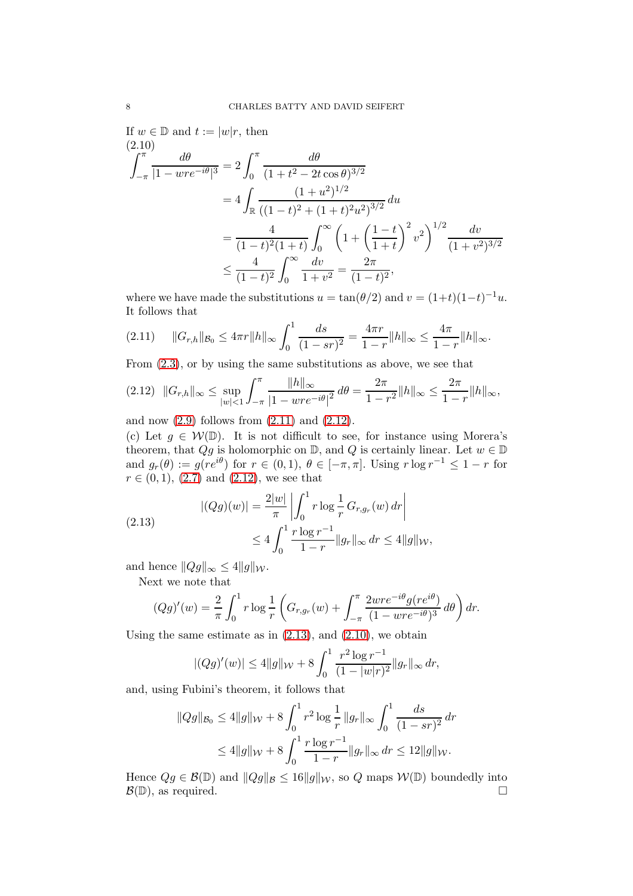If  $w \in \mathbb{D}$  and  $t := |w|r$ , then  $(2.10)$ 

<span id="page-7-3"></span>
$$
\int_{-\pi}^{\pi} \frac{d\theta}{|1 - wre^{-i\theta}|^3} = 2 \int_0^{\pi} \frac{d\theta}{(1 + t^2 - 2t\cos\theta)^{3/2}}
$$
  
=  $4 \int_{\mathbb{R}} \frac{(1 + u^2)^{1/2}}{((1 - t)^2 + (1 + t)^2 u^2)^{3/2}} du$   
=  $\frac{4}{(1 - t)^2 (1 + t)} \int_0^{\infty} \left(1 + \left(\frac{1 - t}{1 + t}\right)^2 v^2\right)^{1/2} \frac{dv}{(1 + v^2)^{3/2}}$   
 $\leq \frac{4}{(1 - t)^2} \int_0^{\infty} \frac{dv}{1 + v^2} = \frac{2\pi}{(1 - t)^2},$ 

where we have made the substitutions  $u = \tan(\theta/2)$  and  $v = (1+t)(1-t)^{-1}u$ . It follows that

<span id="page-7-0"></span>
$$
(2.11) \t||G_{r,h}||_{\mathcal{B}_0} \leq 4\pi r||h||_{\infty} \int_0^1 \frac{ds}{(1-sr)^2} = \frac{4\pi r}{1-r}||h||_{\infty} \leq \frac{4\pi}{1-r}||h||_{\infty}.
$$

From [\(2.3\)](#page-4-1), or by using the same substitutions as above, we see that

<span id="page-7-1"></span>
$$
(2.12) \quad ||G_{r,h}||_{\infty} \le \sup_{|w| < 1} \int_{-\pi}^{\pi} \frac{\|h\|_{\infty}}{|1 - wre^{-i\theta}|^2} \, d\theta = \frac{2\pi}{1 - r^2} \|h\|_{\infty} \le \frac{2\pi}{1 - r} \|h\|_{\infty},
$$

and now  $(2.9)$  follows from  $(2.11)$  and  $(2.12)$ .

(c) Let  $g \in \mathcal{W}(\mathbb{D})$ . It is not difficult to see, for instance using Morera's theorem, that  $Qg$  is holomorphic on  $\mathbb{D}$ , and  $Q$  is certainly linear. Let  $w \in \mathbb{D}$ and  $g_r(\theta) := g(re^{i\theta})$  for  $r \in (0,1)$ ,  $\theta \in [-\pi,\pi]$ . Using  $r \log r^{-1} \leq 1-r$  for  $r \in (0,1), (2.7)$  $r \in (0,1), (2.7)$  and  $(2.12)$ , we see that

<span id="page-7-2"></span>(2.13) 
$$
|(Qg)(w)| = \frac{2|w|}{\pi} \left| \int_0^1 r \log \frac{1}{r} G_{r,g_r}(w) dr \right|
$$
  
 
$$
\leq 4 \int_0^1 \frac{r \log r^{-1}}{1-r} ||g_r||_{\infty} dr \leq 4 ||g||_{\mathcal{W}},
$$

and hence  $||Qg||_{\infty} \leq 4||g||_{\mathcal{W}}$ .

Next we note that

$$
(Qg)'(w) = \frac{2}{\pi} \int_0^1 r \log \frac{1}{r} \left( G_{r,g_r}(w) + \int_{-\pi}^{\pi} \frac{2wre^{-i\theta}g(re^{i\theta})}{(1-wre^{-i\theta})^3} d\theta \right) dr.
$$

Using the same estimate as in  $(2.13)$ , and  $(2.10)$ , we obtain

$$
|(Qg)'(w)| \le 4||g||_{\mathcal{W}} + 8\int_0^1 \frac{r^2\log r^{-1}}{(1-|w|r)^2} ||g_r||_{\infty} dr,
$$

and, using Fubini's theorem, it follows that

$$
||Qg||_{\mathcal{B}_0} \le 4||g||_{\mathcal{W}} + 8\int_0^1 r^2 \log \frac{1}{r} ||g_r||_{\infty} \int_0^1 \frac{ds}{(1 - sr)^2} dr
$$
  

$$
\le 4||g||_{\mathcal{W}} + 8\int_0^1 \frac{r \log r^{-1}}{1 - r} ||g_r||_{\infty} dr \le 12||g||_{\mathcal{W}}.
$$

Hence  $Qg \in \mathcal{B}(\mathbb{D})$  and  $||Qg||_{\mathcal{B}} \leq 16||g||_{\mathcal{W}}$ , so Q maps  $\mathcal{W}(\mathbb{D})$  boundedly into  $\mathcal{B}(\mathbb{D})$ , as required.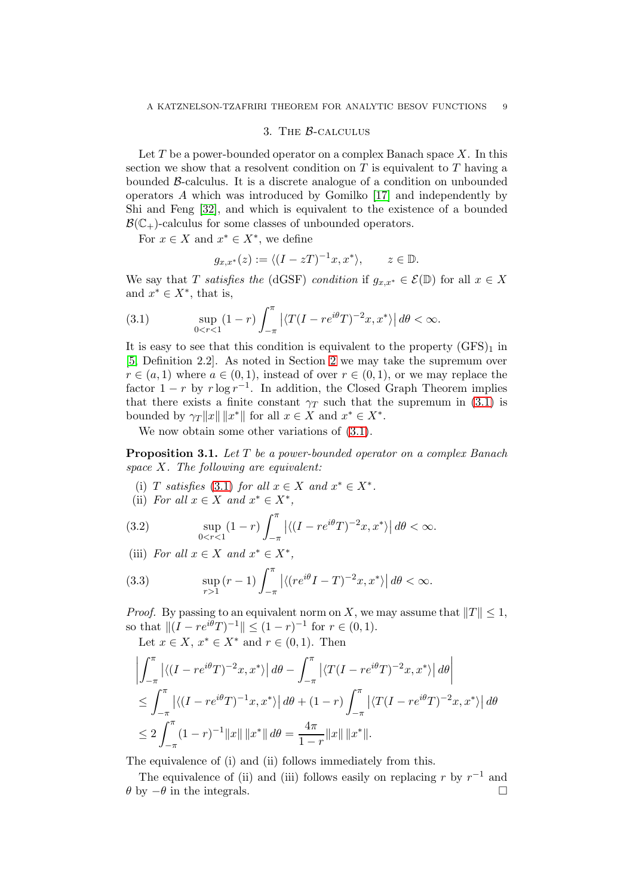### 3. The B-calculus

<span id="page-8-0"></span>Let  $T$  be a power-bounded operator on a complex Banach space  $X$ . In this section we show that a resolvent condition on  $T$  is equivalent to  $T$  having a bounded B-calculus. It is a discrete analogue of a condition on unbounded operators A which was introduced by Gomilko [\[17\]](#page-15-16) and independently by Shi and Feng [\[32\]](#page-16-5), and which is equivalent to the existence of a bounded  $\mathcal{B}(\mathbb{C}_{+})$ -calculus for some classes of unbounded operators.

For  $x \in X$  and  $x^* \in X^*$ , we define

<span id="page-8-1"></span>
$$
g_{x,x^*}(z) := \langle (I - zT)^{-1}x, x^* \rangle, \qquad z \in \mathbb{D}.
$$

We say that T *satisfies the* (dGSF) *condition* if  $g_{x,x^*} \in \mathcal{E}(\mathbb{D})$  for all  $x \in X$ and  $x^* \in X^*$ , that is,

(3.1) 
$$
\sup_{0 < r < 1} (1 - r) \int_{-\pi}^{\pi} \left| \langle T(I - re^{i\theta} T)^{-2} x, x^* \rangle \right| d\theta < \infty.
$$

It is easy to see that this condition is equivalent to the property  $(GFS)_1$  in [\[5,](#page-14-4) Definition 2.2]. As noted in Section [2](#page-3-2) we may take the supremum over  $r \in (a, 1)$  where  $a \in (0, 1)$ , instead of over  $r \in (0, 1)$ , or we may replace the factor  $1 - r$  by  $r \log r^{-1}$ . In addition, the Closed Graph Theorem implies that there exists a finite constant  $\gamma_T$  such that the supremum in [\(3.1\)](#page-8-1) is bounded by  $\gamma_T ||x|| ||x^*||$  for all  $x \in X$  and  $x^* \in X^*$ .

We now obtain some other variations of  $(3.1)$ .

<span id="page-8-3"></span>Proposition 3.1. *Let* T *be a power-bounded operator on a complex Banach space* X*. The following are equivalent:*

- (i) *T satisfies* [\(3.1\)](#page-8-1) *for all*  $x \in X$  *and*  $x^* \in X^*$ *.*
- <span id="page-8-4"></span>(ii) *For all*  $x \in X$  *and*  $x^* \in X^*$ *,*

(3.2) 
$$
\sup_{0 < r < 1} (1 - r) \int_{-\pi}^{\pi} \left| \langle (I - re^{i\theta} T)^{-2} x, x^* \rangle \right| d\theta < \infty.
$$

(iii) *For all*  $x \in X$  *and*  $x^* \in X^*$ *,* 

<span id="page-8-2"></span>(3.3) 
$$
\sup_{r>1} (r-1) \int_{-\pi}^{\pi} \left| \langle (re^{i\theta}I-T)^{-2}x, x^* \rangle \right| d\theta < \infty.
$$

*Proof.* By passing to an equivalent norm on X, we may assume that  $||T|| \leq 1$ , so that  $||(I - re^{i\theta}T)^{-1}|| \leq (1 - r)^{-1}$  for  $r \in (0, 1)$ .

Let  $x \in X$ ,  $x^* \in X^*$  and  $r \in (0,1)$ . Then

$$
\left| \int_{-\pi}^{\pi} \left| \langle (I - re^{i\theta} T)^{-2} x, x^* \rangle \right| d\theta - \int_{-\pi}^{\pi} \left| \langle T(I - re^{i\theta} T)^{-2} x, x^* \rangle \right| d\theta \right|
$$
  
\n
$$
\leq \int_{-\pi}^{\pi} \left| \langle (I - re^{i\theta} T)^{-1} x, x^* \rangle \right| d\theta + (1 - r) \int_{-\pi}^{\pi} \left| \langle T(I - re^{i\theta} T)^{-2} x, x^* \rangle \right| d\theta
$$
  
\n
$$
\leq 2 \int_{-\pi}^{\pi} (1 - r)^{-1} ||x|| ||x^*|| d\theta = \frac{4\pi}{1 - r} ||x|| ||x^*||.
$$

The equivalence of (i) and (ii) follows immediately from this.

The equivalence of (ii) and (iii) follows easily on replacing r by  $r^{-1}$  and  $\theta$  by  $-\theta$  in the integrals.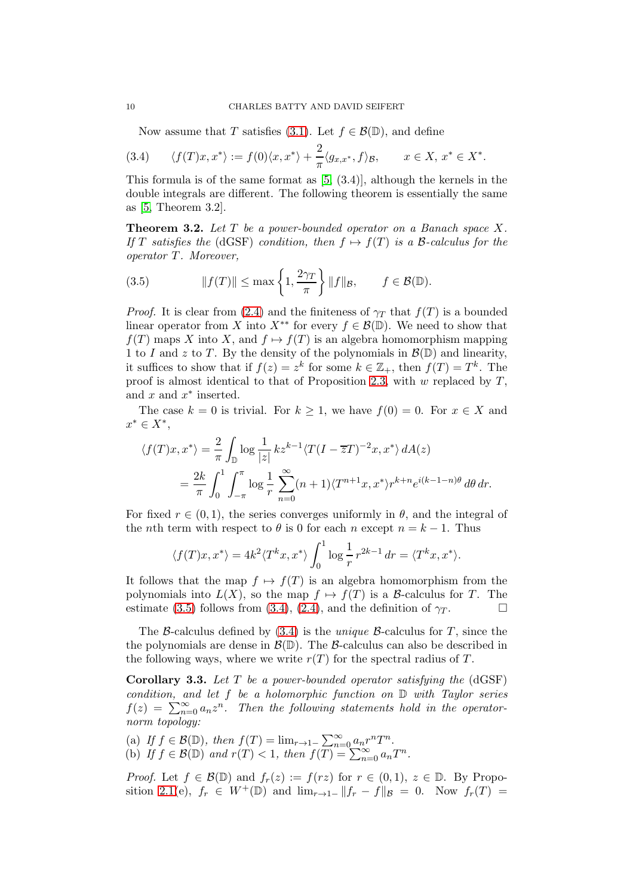<span id="page-9-1"></span>Now assume that T satisfies [\(3.1\)](#page-8-1). Let  $f \in \mathcal{B}(\mathbb{D})$ , and define

(3.4) 
$$
\langle f(T)x, x^* \rangle := f(0) \langle x, x^* \rangle + \frac{2}{\pi} \langle g_{x,x^*}, f \rangle_{\mathcal{B}}, \qquad x \in X, x^* \in X^*.
$$

This formula is of the same format as [\[5,](#page-14-4) (3.4)], although the kernels in the double integrals are different. The following theorem is essentially the same as [\[5,](#page-14-4) Theorem 3.2].

<span id="page-9-2"></span>Theorem 3.2. *Let* T *be a power-bounded operator on a Banach space* X*. If* T satisfies the (dGSF) condition, then  $f \mapsto f(T)$  is a B-calculus for the *operator* T*. Moreover,*

<span id="page-9-0"></span>(3.5) 
$$
||f(T)|| \le \max\left\{1, \frac{2\gamma_T}{\pi}\right\} ||f||_{\mathcal{B}}, \qquad f \in \mathcal{B}(\mathbb{D}).
$$

*Proof.* It is clear from [\(2.4\)](#page-5-1) and the finiteness of  $\gamma_T$  that  $f(T)$  is a bounded linear operator from X into  $X^{**}$  for every  $f \in \mathcal{B}(\mathbb{D})$ . We need to show that  $f(T)$  maps X into X, and  $f \mapsto f(T)$  is an algebra homomorphism mapping 1 to I and z to T. By the density of the polynomials in  $\mathcal{B}(\mathbb{D})$  and linearity, it suffices to show that if  $f(z) = z^k$  for some  $k \in \mathbb{Z}_+$ , then  $f(T) = T^k$ . The proof is almost identical to that of Proposition [2.3,](#page-5-0) with  $w$  replaced by  $T$ , and  $x$  and  $x^*$  inserted.

The case  $k = 0$  is trivial. For  $k \ge 1$ , we have  $f(0) = 0$ . For  $x \in X$  and  $x^* \in X^*,$ 

$$
\langle f(T)x, x^* \rangle = \frac{2}{\pi} \int_{\mathbb{D}} \log \frac{1}{|z|} k z^{k-1} \langle T(I - \overline{z}T)^{-2} x, x^* \rangle dA(z)
$$
  

$$
= \frac{2k}{\pi} \int_0^1 \int_{-\pi}^{\pi} \log \frac{1}{r} \sum_{n=0}^{\infty} (n+1) \langle T^{n+1}x, x^* \rangle r^{k+n} e^{i(k-1-n)\theta} d\theta dr.
$$

For fixed  $r \in (0, 1)$ , the series converges uniformly in  $\theta$ , and the integral of the *n*th term with respect to  $\theta$  is 0 for each *n* except  $n = k - 1$ . Thus

$$
\langle f(T)x, x^* \rangle = 4k^2 \langle T^k x, x^* \rangle \int_0^1 \log \frac{1}{r} r^{2k-1} dr = \langle T^k x, x^* \rangle.
$$

It follows that the map  $f \mapsto f(T)$  is an algebra homomorphism from the polynomials into  $L(X)$ , so the map  $f \mapsto f(T)$  is a B-calculus for T. The estimate [\(3.5\)](#page-9-0) follows from [\(3.4\)](#page-9-1), [\(2.4\)](#page-5-1), and the definition of  $\gamma_T$ .

The B-calculus defined by [\(3.4\)](#page-9-1) is the *unique* B-calculus for T, since the the polynomials are dense in  $\mathcal{B}(\mathbb{D})$ . The  $\mathcal{B}$ -calculus can also be described in the following ways, where we write  $r(T)$  for the spectral radius of T.

<span id="page-9-3"></span>Corollary 3.3. *Let* T *be a power-bounded operator satisfying the* (dGSF) *condition, and let* f *be a holomorphic function on* D *with Taylor series*  $f(z) = \sum_{n=0}^{\infty} a_n z^n$ . Then the following statements hold in the operator*norm topology:*

(a) If  $f \in \mathcal{B}(\mathbb{D})$ , then  $f(T) = \lim_{r \to 1^-} \sum_{n=0}^{\infty} a_n r^n T^n$ . (b) If  $f \in \mathcal{B}(\mathbb{D})$  and  $r(T) < 1$ , then  $f(\overline{T}) = \sum_{n=0}^{\infty} a_n T^n$ .

*Proof.* Let  $f \in \mathcal{B}(\mathbb{D})$  and  $f_r(z) := f(rz)$  for  $r \in (0,1)$ ,  $z \in \mathbb{D}$ . By Propo-sition [2.1\(](#page-3-3)e),  $f_r \in W^+(\mathbb{D})$  and  $\lim_{r \to 1^-} ||f_r - f||_B = 0$ . Now  $f_r(T) =$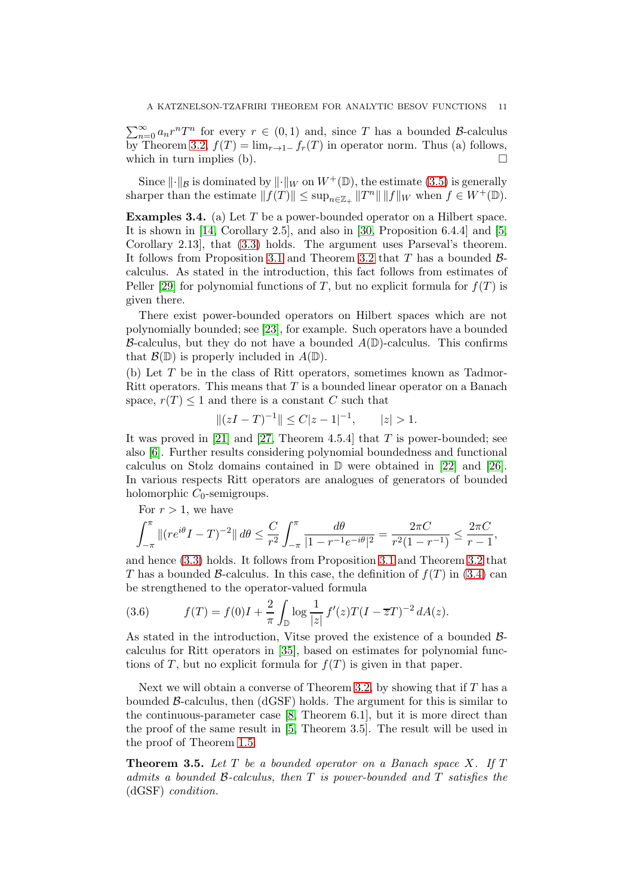$\sum_{n=0}^{\infty} a_n r^n T^n$  for every  $r \in (0,1)$  and, since T has a bounded B-calculus by Theorem [3.2,](#page-9-2)  $f(T) = \lim_{r\to 1^-} f_r(T)$  in operator norm. Thus (a) follows, which in turn implies (b).  $\Box$ 

Since  $\|\cdot\|_{\mathcal{B}}$  is dominated by  $\|\cdot\|_{W}$  on  $W^{+}(\mathbb{D})$ , the estimate [\(3.5\)](#page-9-0) is generally sharper than the estimate  $|| f(T) || \leq \sup_{n \in \mathbb{Z}_+} ||T^n|| \, ||f||_W$  when  $f \in W^+(\mathbb{D})$ .

<span id="page-10-1"></span>Examples 3.4. (a) Let T be a power-bounded operator on a Hilbert space. It is shown in [\[14,](#page-15-15) Corollary 2.5], and also in [\[30,](#page-15-17) Proposition 6.4.4] and [\[5,](#page-14-4) Corollary 2.13], that [\(3.3\)](#page-8-2) holds. The argument uses Parseval's theorem. It follows from Proposition [3.1](#page-8-3) and Theorem [3.2](#page-9-2) that T has a bounded  $\beta$ calculus. As stated in the introduction, this fact follows from estimates of Peller [\[29\]](#page-15-12) for polynomial functions of T, but no explicit formula for  $f(T)$  is given there.

There exist power-bounded operators on Hilbert spaces which are not polynomially bounded; see [\[23\]](#page-15-18), for example. Such operators have a bounded B-calculus, but they do not have a bounded  $A(\mathbb{D})$ -calculus. This confirms that  $\mathcal{B}(\mathbb{D})$  is properly included in  $A(\mathbb{D})$ .

(b) Let T be in the class of Ritt operators, sometimes known as Tadmor-Ritt operators. This means that  $T$  is a bounded linear operator on a Banach space,  $r(T) \leq 1$  and there is a constant C such that

$$
||(zI - T)^{-1}|| \le C|z - 1|^{-1}, \qquad |z| > 1.
$$

It was proved in [\[21\]](#page-15-19) and [\[27,](#page-15-20) Theorem 4.5.4] that T is power-bounded; see also [\[6\]](#page-15-21). Further results considering polynomial boundedness and functional calculus on Stolz domains contained in  $\mathbb{D}$  were obtained in [\[22\]](#page-15-22) and [\[26\]](#page-15-23). In various respects Ritt operators are analogues of generators of bounded holomorphic  $C_0$ -semigroups.

For  $r > 1$ , we have

$$
\int_{-\pi}^{\pi} \left\| (re^{i\theta}I - T)^{-2} \right\| d\theta \le \frac{C}{r^2} \int_{-\pi}^{\pi} \frac{d\theta}{|1 - r^{-1}e^{-i\theta}|^2} = \frac{2\pi C}{r^2(1 - r^{-1})} \le \frac{2\pi C}{r - 1},
$$

and hence [\(3.3\)](#page-8-2) holds. It follows from Proposition [3.1](#page-8-3) and Theorem [3.2](#page-9-2) that T has a bounded B-calculus. In this case, the definition of  $f(T)$  in [\(3.4\)](#page-9-1) can be strengthened to the operator-valued formula

<span id="page-10-2"></span>(3.6) 
$$
f(T) = f(0)I + \frac{2}{\pi} \int_{\mathbb{D}} \log \frac{1}{|z|} f'(z)T(I - \overline{z}T)^{-2} dA(z).
$$

As stated in the introduction, Vitse proved the existence of a bounded Bcalculus for Ritt operators in [\[35\]](#page-16-2), based on estimates for polynomial functions of T, but no explicit formula for  $f(T)$  is given in that paper.

Next we will obtain a converse of Theorem [3.2,](#page-9-2) by showing that if  $T$  has a bounded B-calculus, then (dGSF) holds. The argument for this is similar to the continuous-parameter case [\[8,](#page-15-14) Theorem 6.1], but it is more direct than the proof of the same result in [\[5,](#page-14-4) Theorem 3.5]. The result will be used in the proof of Theorem [1.5.](#page-3-1)

<span id="page-10-0"></span>Theorem 3.5. *Let* T *be a bounded operator on a Banach space* X*. If* T *admits a bounded* B*-calculus, then* T *is power-bounded and* T *satisfies the* (dGSF) *condition.*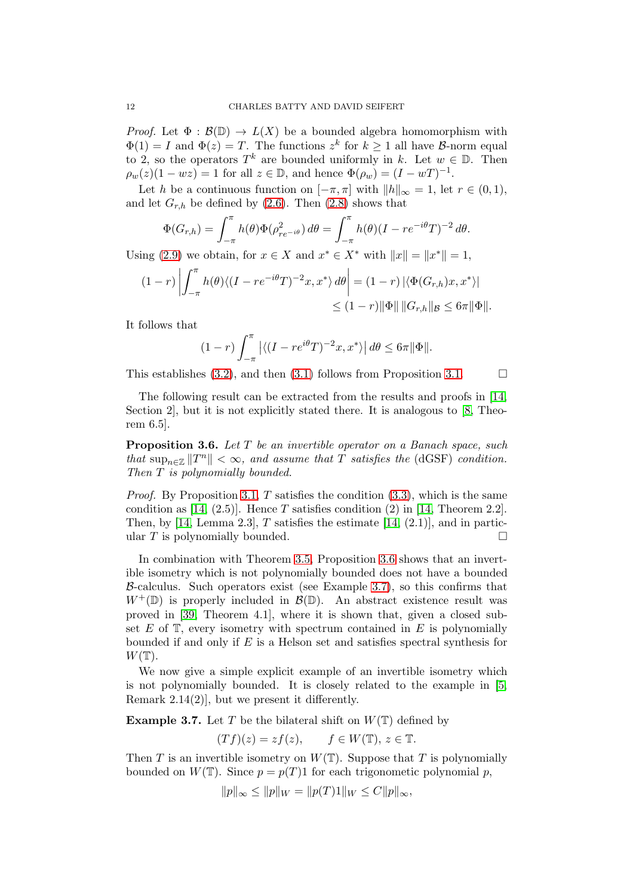*Proof.* Let  $\Phi : \mathcal{B}(\mathbb{D}) \to L(X)$  be a bounded algebra homomorphism with  $\Phi(1) = I$  and  $\Phi(z) = T$ . The functions  $z^k$  for  $k \ge 1$  all have  $\beta$ -norm equal to 2, so the operators  $T^k$  are bounded uniformly in k. Let  $w \in \mathbb{D}$ . Then  $\rho_w(z)(1 - wz) = 1$  for all  $z \in \mathbb{D}$ , and hence  $\Phi(\rho_w) = (I - wT)^{-1}$ .

Let h be a continuous function on  $[-\pi, \pi]$  with  $||h||_{\infty} = 1$ , let  $r \in (0, 1)$ , and let  $G_{r,h}$  be defined by [\(2.6\)](#page-6-2). Then [\(2.8\)](#page-6-3) shows that

$$
\Phi(G_{r,h}) = \int_{-\pi}^{\pi} h(\theta) \Phi(\rho_{re^{-i\theta}}^2) d\theta = \int_{-\pi}^{\pi} h(\theta) (I - re^{-i\theta}T)^{-2} d\theta.
$$

Using [\(2.9\)](#page-6-0) we obtain, for  $x \in X$  and  $x^* \in X^*$  with  $||x|| = ||x^*|| = 1$ ,

$$
(1-r)\left|\int_{-\pi}^{\pi}h(\theta)\langle (I-re^{-i\theta}T)^{-2}x,x^*\rangle d\theta\right| = (1-r)\left|\langle \Phi(G_{r,h})x,x^*\rangle\right|
$$
  

$$
\leq (1-r)\|\Phi\| \, \|G_{r,h}\|_{\mathcal{B}} \leq 6\pi \|\Phi\|.
$$

It follows that

$$
(1-r)\int_{-\pi}^{\pi} \left| \langle (I-re^{i\theta}T)^{-2}x, x^* \rangle \right| d\theta \le 6\pi \|\Phi\|.
$$

This establishes [\(3.2\)](#page-8-4), and then [\(3.1\)](#page-8-1) follows from Proposition [3.1.](#page-8-3)  $\Box$ 

The following result can be extracted from the results and proofs in [\[14,](#page-15-15) Section 2], but it is not explicitly stated there. It is analogous to [\[8,](#page-15-14) Theorem 6.5].

<span id="page-11-0"></span>Proposition 3.6. *Let* T *be an invertible operator on a Banach space, such that*  $\sup_{n\in\mathbb{Z}} \|T^n\| < \infty$ , and assume that T satisfies the (dGSF) condition. *Then* T *is polynomially bounded.*

*Proof.* By Proposition [3.1,](#page-8-3)  $T$  satisfies the condition  $(3.3)$ , which is the same condition as [\[14,](#page-15-15) (2.5)]. Hence T satisfies condition (2) in [14, Theorem 2.2]. Then, by [\[14,](#page-15-15) Lemma 2.3],  $T$  satisfies the estimate [14, (2.1)], and in particular T is polynomially bounded.  $\square$ 

In combination with Theorem [3.5,](#page-10-0) Proposition [3.6](#page-11-0) shows that an invertible isometry which is not polynomially bounded does not have a bounded  $\beta$ -calculus. Such operators exist (see Example [3.7\)](#page-11-1), so this confirms that  $W^+(\mathbb{D})$  is properly included in  $\mathcal{B}(\mathbb{D})$ . An abstract existence result was proved in [\[39,](#page-16-6) Theorem 4.1], where it is shown that, given a closed subset  $E$  of  $\mathbb T$ , every isometry with spectrum contained in  $E$  is polynomially bounded if and only if  $E$  is a Helson set and satisfies spectral synthesis for  $W(\mathbb{T}).$ 

We now give a simple explicit example of an invertible isometry which is not polynomially bounded. It is closely related to the example in [\[5,](#page-14-4) Remark 2.14(2)], but we present it differently.

<span id="page-11-1"></span>**Example 3.7.** Let T be the bilateral shift on  $W(\mathbb{T})$  defined by

$$
(Tf)(z) = zf(z), \qquad f \in W(\mathbb{T}), \, z \in \mathbb{T}.
$$

Then T is an invertible isometry on  $W(T)$ . Suppose that T is polynomially bounded on  $W(\mathbb{T})$ . Since  $p = p(T)1$  for each trigonometic polynomial p,

$$
||p||_{\infty} \le ||p||_{W} = ||p(T)1||_{W} \le C||p||_{\infty},
$$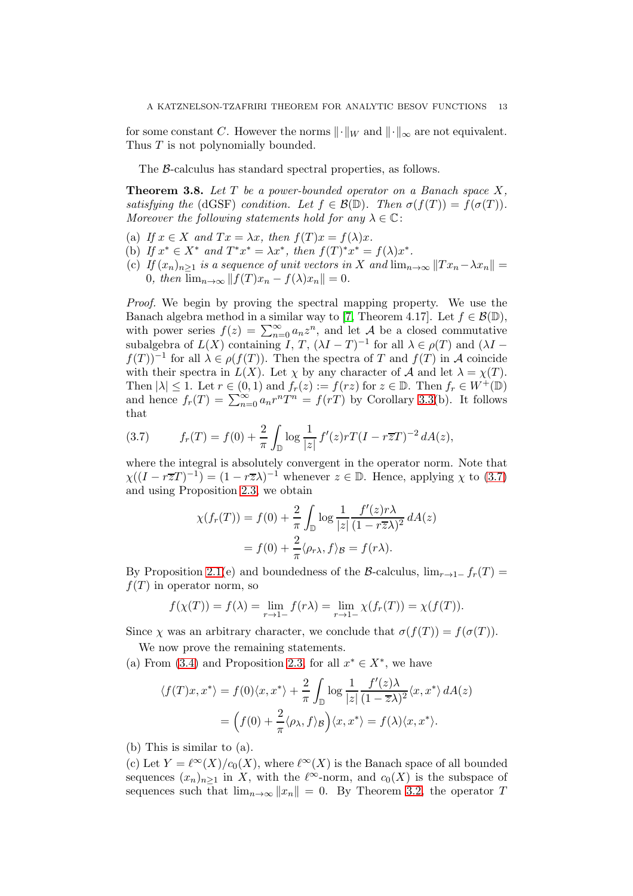for some constant C. However the norms  $\lVert \cdot \rVert_W$  and  $\lVert \cdot \rVert_{\infty}$  are not equivalent. Thus T is not polynomially bounded.

The B-calculus has standard spectral properties, as follows.

<span id="page-12-0"></span>Theorem 3.8. *Let* T *be a power-bounded operator on a Banach space* X*, satisfying the* (dGSF) *condition. Let*  $f \in \mathcal{B}(\mathbb{D})$ *. Then*  $\sigma(f(T)) = f(\sigma(T))$ *. Moreover the following statements hold for any*  $\lambda \in \mathbb{C}$ :

- (a) If  $x \in X$  and  $Tx = \lambda x$ , then  $f(T)x = f(\lambda)x$ .
- (b) If  $x^* \in X^*$  and  $T^*x^* = \lambda x^*$ , then  $f(T)^*x^* = f(\lambda)x^*$ .
- (c) *If*  $(x_n)_{n\geq 1}$  *is a sequence of unit vectors in* X *and*  $\lim_{n\to\infty}||Tx_n-\lambda x_n||$ 0*, then*  $\lim_{n\to\infty}$   $|| f(T)x_n - f(\lambda)x_n || = 0$ *.*

*Proof.* We begin by proving the spectral mapping property. We use the Banach algebra method in a similar way to [\[7,](#page-15-13) Theorem 4.17]. Let  $f \in \mathcal{B}(\mathbb{D})$ , with power series  $f(z) = \sum_{n=0}^{\infty} a_n z^n$ , and let A be a closed commutative subalgebra of  $L(X)$  containing  $\tilde{I}$ ,  $T$ ,  $(\lambda I - T)^{-1}$  for all  $\lambda \in \rho(T)$  and  $(\lambda I$  $f(T)$ <sup>-1</sup> for all  $\lambda \in \rho(f(T))$ . Then the spectra of T and  $f(T)$  in A coincide with their spectra in  $L(X)$ . Let  $\chi$  by any character of A and let  $\lambda = \chi(T)$ . Then  $|\lambda| \leq 1$ . Let  $r \in (0,1)$  and  $f_r(z) := f(rz)$  for  $z \in \mathbb{D}$ . Then  $f_r \in W^+(\mathbb{D})$ and hence  $f_r(T) = \sum_{n=0}^{\infty} a_n r^n T^n = f(rT)$  by Corollary [3.3\(](#page-9-3)b). It follows that

<span id="page-12-1"></span>(3.7) 
$$
f_r(T) = f(0) + \frac{2}{\pi} \int_{\mathbb{D}} \log \frac{1}{|z|} f'(z) r T (I - r \overline{z} T)^{-2} dA(z),
$$

where the integral is absolutely convergent in the operator norm. Note that  $\chi((I - r\overline{z}T)^{-1}) = (1 - r\overline{z}\lambda)^{-1}$  whenever  $z \in \mathbb{D}$ . Hence, applying  $\chi$  to [\(3.7\)](#page-12-1) and using Proposition [2.3,](#page-5-0) we obtain

$$
\chi(f_r(T)) = f(0) + \frac{2}{\pi} \int_{\mathbb{D}} \log \frac{1}{|z|} \frac{f'(z)r\lambda}{(1 - r\overline{z}\lambda)^2} dA(z)
$$

$$
= f(0) + \frac{2}{\pi} \langle \rho_{r\lambda}, f \rangle_{\mathcal{B}} = f(r\lambda).
$$

By Proposition [2.1\(](#page-3-3)e) and boundedness of the B-calculus,  $\lim_{r\to 1^-} f_r(T) =$  $f(T)$  in operator norm, so

$$
f(\chi(T)) = f(\lambda) = \lim_{r \to 1^-} f(r\lambda) = \lim_{r \to 1^-} \chi(f_r(T)) = \chi(f(T)).
$$

Since  $\chi$  was an arbitrary character, we conclude that  $\sigma(f(T)) = f(\sigma(T))$ .

We now prove the remaining statements.

(a) From [\(3.4\)](#page-9-1) and Proposition [2.3,](#page-5-0) for all  $x^* \in X^*$ , we have

$$
\langle f(T)x, x^* \rangle = f(0) \langle x, x^* \rangle + \frac{2}{\pi} \int_{\mathbb{D}} \log \frac{1}{|z|} \frac{f'(z)\lambda}{(1 - \overline{z}\lambda)^2} \langle x, x^* \rangle dA(z)
$$

$$
= \left( f(0) + \frac{2}{\pi} \langle \rho_\lambda, f \rangle_B \right) \langle x, x^* \rangle = f(\lambda) \langle x, x^* \rangle.
$$

(b) This is similar to (a).

(c) Let  $Y = \ell^{\infty}(X)/c_0(X)$ , where  $\ell^{\infty}(X)$  is the Banach space of all bounded sequences  $(x_n)_{n>1}$  in X, with the  $\ell^{\infty}$ -norm, and  $c_0(X)$  is the subspace of sequences such that  $\lim_{n\to\infty} ||x_n|| = 0$ . By Theorem [3.2,](#page-9-2) the operator T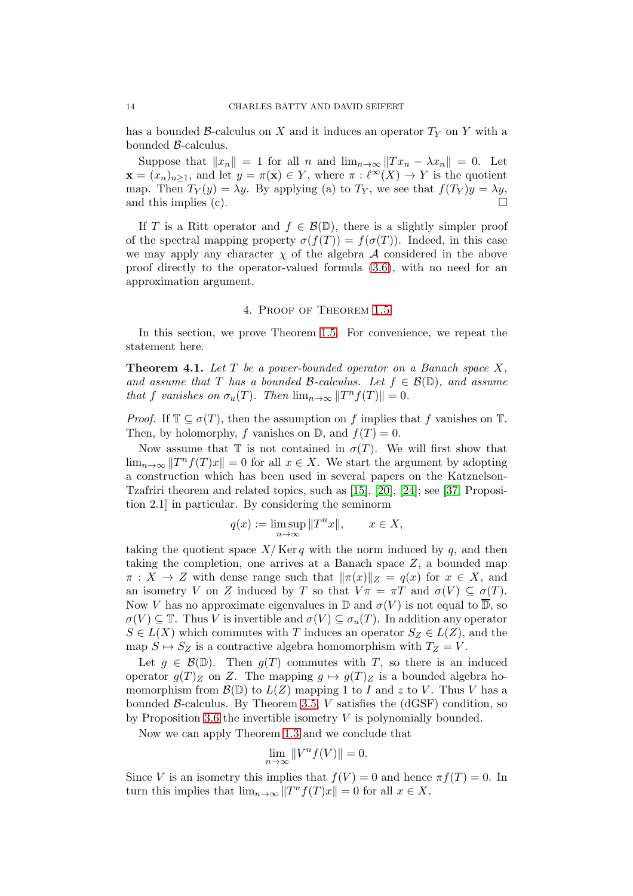has a bounded B-calculus on X and it induces an operator  $T_Y$  on Y with a bounded B-calculus.

Suppose that  $||x_n|| = 1$  for all n and  $\lim_{n\to\infty} ||Tx_n - \lambda x_n|| = 0$ . Let  $\mathbf{x} = (x_n)_{n \geq 1}$ , and let  $y = \pi(\mathbf{x}) \in Y$ , where  $\pi : \ell^{\infty}(X) \to Y$  is the quotient map. Then  $T_Y(y) = \lambda y$ . By applying (a) to  $T_Y$ , we see that  $f(T_Y)y = \lambda y$ , and this implies (c).  $\Box$ 

If T is a Ritt operator and  $f \in \mathcal{B}(\mathbb{D})$ , there is a slightly simpler proof of the spectral mapping property  $\sigma(f(T)) = f(\sigma(T))$ . Indeed, in this case we may apply any character  $\chi$  of the algebra A considered in the above proof directly to the operator-valued formula [\(3.6\)](#page-10-2), with no need for an approximation argument.

### 4. Proof of Theorem [1.5](#page-3-1)

<span id="page-13-0"></span>In this section, we prove Theorem [1.5.](#page-3-1) For convenience, we repeat the statement here.

Theorem 4.1. *Let* T *be a power-bounded operator on a Banach space* X*, and assume that* T *has a bounded* B-calculus. Let  $f \in \mathcal{B}(\mathbb{D})$ , and assume *that* f *vanishes on*  $\sigma_u(T)$ *. Then*  $\lim_{n\to\infty} ||T^n f(T)|| = 0$ *.* 

*Proof.* If  $\mathbb{T} \subseteq \sigma(T)$ , then the assumption on f implies that f vanishes on  $\mathbb{T}$ . Then, by holomorphy, f vanishes on  $\mathbb{D}$ , and  $f(T) = 0$ .

Now assume that  $\mathbb T$  is not contained in  $\sigma(T)$ . We will first show that  $\lim_{n\to\infty} ||T^n f(T)x|| = 0$  for all  $x \in X$ . We start the argument by adopting a construction which has been used in several papers on the Katznelson-Tzafriri theorem and related topics, such as [\[15\]](#page-15-5), [\[20\]](#page-15-4), [\[24\]](#page-15-6); see [\[37,](#page-16-7) Proposition 2.1] in particular. By considering the seminorm

$$
q(x) := \limsup_{n \to \infty} ||T^n x||, \qquad x \in X,
$$

taking the quotient space  $X/Ker q$  with the norm induced by q, and then taking the completion, one arrives at a Banach space  $Z$ , a bounded map  $\pi: X \to Z$  with dense range such that  $\|\pi(x)\|_Z = q(x)$  for  $x \in X$ , and an isometry V on Z induced by T so that  $V\pi = \pi T$  and  $\sigma(V) \subseteq \sigma(T)$ . Now V has no approximate eigenvalues in  $\mathbb D$  and  $\sigma(V)$  is not equal to  $\overline{\mathbb D}$ , so  $\sigma(V) \subseteq \mathbb{T}$ . Thus V is invertible and  $\sigma(V) \subseteq \sigma_u(T)$ . In addition any operator  $S \in L(X)$  which commutes with T induces an operator  $S_Z \in L(Z)$ , and the map  $S \mapsto S_Z$  is a contractive algebra homomorphism with  $T_Z = V$ .

Let  $g \in \mathcal{B}(\mathbb{D})$ . Then  $g(T)$  commutes with T, so there is an induced operator  $g(T)_Z$  on Z. The mapping  $g \mapsto g(T)_Z$  is a bounded algebra homomorphism from  $\mathcal{B}(\mathbb{D})$  to  $L(Z)$  mapping 1 to I and z to V. Thus V has a bounded  $\beta$ -calculus. By Theorem [3.5,](#page-10-0) V satisfies the (dGSF) condition, so by Proposition [3.6](#page-11-0) the invertible isometry  $V$  is polynomially bounded.

Now we can apply Theorem [1.3](#page-1-2) and we conclude that

$$
\lim_{n \to \infty} ||V^n f(V)|| = 0.
$$

Since V is an isometry this implies that  $f(V) = 0$  and hence  $\pi f(T) = 0$ . In turn this implies that  $\lim_{n\to\infty} ||T^n f(T)x|| = 0$  for all  $x \in X$ .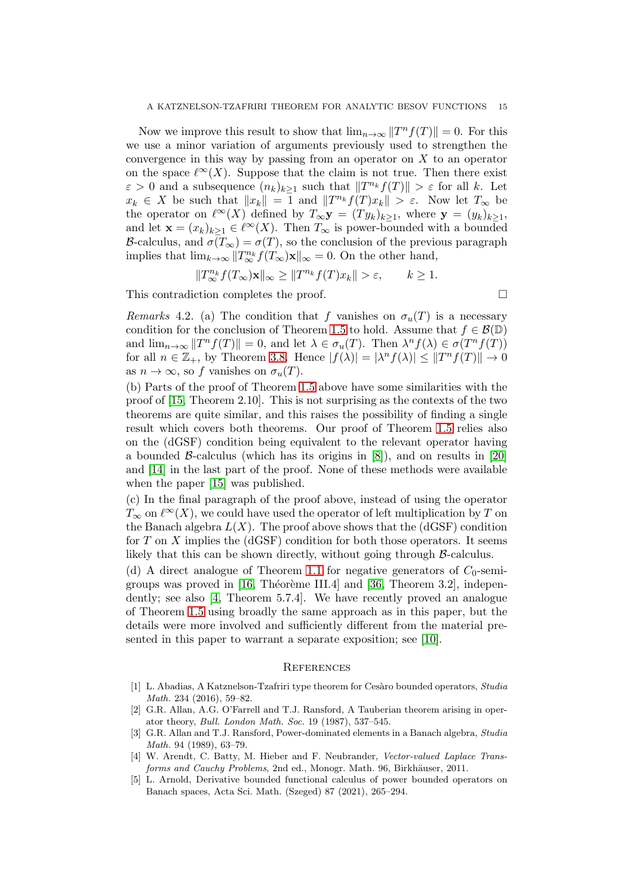Now we improve this result to show that  $\lim_{n\to\infty} ||T^n f(T)|| = 0$ . For this we use a minor variation of arguments previously used to strengthen the convergence in this way by passing from an operator on  $X$  to an operator on the space  $\ell^{\infty}(X)$ . Suppose that the claim is not true. Then there exist  $\varepsilon > 0$  and a subsequence  $(n_k)_{k \geq 1}$  such that  $||T^{n_k}f(T)|| > \varepsilon$  for all k. Let  $x_k \in X$  be such that  $||x_k|| = \overline{1}$  and  $||T^{n_k}f(T)x_k|| > \varepsilon$ . Now let  $T_\infty$  be the operator on  $\ell^{\infty}(X)$  defined by  $T_{\infty} \mathbf{y} = (Ty_k)_{k\geq 1}$ , where  $\mathbf{y} = (y_k)_{k\geq 1}$ , and let  $\mathbf{x} = (x_k)_{k\geq 1} \in \ell^{\infty}(X)$ . Then  $T_{\infty}$  is power-bounded with a bounded B-calculus, and  $\sigma(T_{\infty}) = \sigma(T)$ , so the conclusion of the previous paragraph implies that  $\lim_{k\to\infty} ||T^{n_k}_{\infty} f(T_{\infty})\mathbf{x}||_{\infty} = 0$ . On the other hand,

$$
||T_{\infty}^{n_k} f(T_{\infty}) \mathbf{x}||_{\infty} \ge ||T^{n_k} f(T)x_k|| > \varepsilon, \qquad k \ge 1.
$$

This contradiction completes the proof.

<span id="page-14-0"></span>*Remarks* 4.2. (a) The condition that f vanishes on  $\sigma_u(T)$  is a necessary condition for the conclusion of Theorem [1.5](#page-3-1) to hold. Assume that  $f \in \mathcal{B}(\mathbb{D})$ and  $\lim_{n\to\infty} ||T^n f(T)|| = 0$ , and let  $\lambda \in \sigma_u(T)$ . Then  $\lambda^n f(\lambda) \in \sigma(T^n f(T))$ for all  $n \in \mathbb{Z}_+$ , by Theorem [3.8.](#page-12-0) Hence  $|f(\lambda)| = |\lambda^n f(\lambda)| \leq ||T^n f(T)|| \to 0$ as  $n \to \infty$ , so f vanishes on  $\sigma_u(T)$ .

(b) Parts of the proof of Theorem [1.5](#page-3-1) above have some similarities with the proof of [\[15,](#page-15-5) Theorem 2.10]. This is not surprising as the contexts of the two theorems are quite similar, and this raises the possibility of finding a single result which covers both theorems. Our proof of Theorem [1.5](#page-3-1) relies also on the (dGSF) condition being equivalent to the relevant operator having a bounded  $\beta$ -calculus (which has its origins in [\[8\]](#page-15-14)), and on results in [\[20\]](#page-15-4) and [\[14\]](#page-15-15) in the last part of the proof. None of these methods were available when the paper [\[15\]](#page-15-5) was published.

(c) In the final paragraph of the proof above, instead of using the operator  $T_{\infty}$  on  $\ell^{\infty}(X)$ , we could have used the operator of left multiplication by T on the Banach algebra  $L(X)$ . The proof above shows that the (dGSF) condition for  $T$  on  $X$  implies the (dGSF) condition for both those operators. It seems likely that this can be shown directly, without going through B-calculus.

(d) A direct analogue of Theorem [1.1](#page-1-0) for negative generators of  $C_0$ -semi-groups was proved in [\[16,](#page-15-24) Théorème III.4] and [\[36,](#page-16-8) Theorem 3.2], independently; see also [\[4,](#page-14-5) Theorem 5.7.4]. We have recently proved an analogue of Theorem [1.5](#page-3-1) using broadly the same approach as in this paper, but the details were more involved and sufficiently different from the material presented in this paper to warrant a separate exposition; see [\[10\]](#page-15-25).

### **REFERENCES**

- <span id="page-14-3"></span>[1] L. Abadias, A Katznelson-Tzafriri type theorem for Ces`aro bounded operators, *Studia Math.* 234 (2016), 59–82.
- <span id="page-14-1"></span>[2] G.R. Allan, A.G. O'Farrell and T.J. Ransford, A Tauberian theorem arising in operator theory, *Bull. London Math. Soc.* 19 (1987), 537–545.
- <span id="page-14-2"></span>[3] G.R. Allan and T.J. Ransford, Power-dominated elements in a Banach algebra, *Studia Math.* 94 (1989), 63–79.
- <span id="page-14-5"></span>[4] W. Arendt, C. Batty, M. Hieber and F. Neubrander, *Vector-valued Laplace Transforms and Cauchy Problems*, 2nd ed., Monogr. Math. 96, Birkhäuser, 2011.
- <span id="page-14-4"></span>[5] L. Arnold, Derivative bounded functional calculus of power bounded operators on Banach spaces, Acta Sci. Math. (Szeged) 87 (2021), 265–294.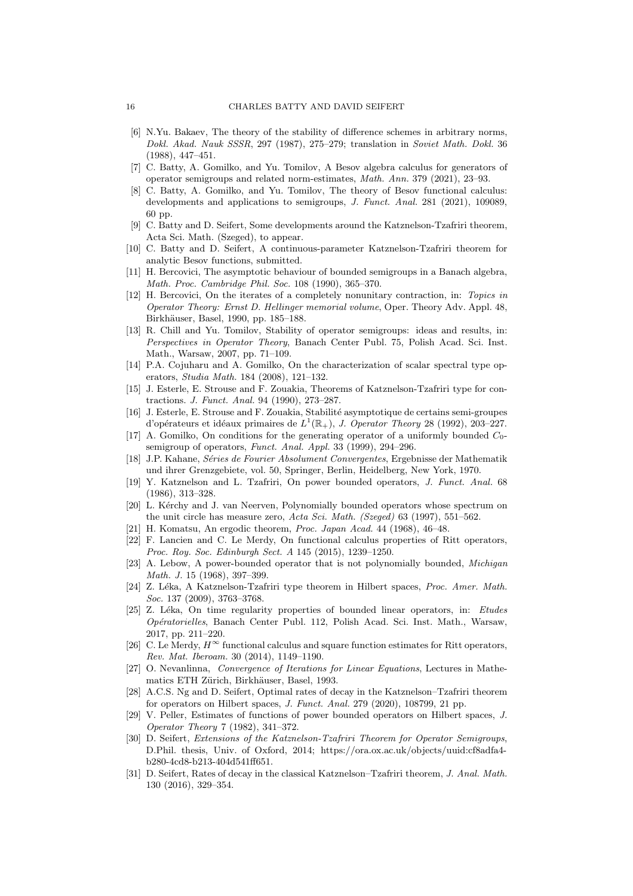- <span id="page-15-21"></span>[6] N.Yu. Bakaev, The theory of the stability of difference schemes in arbitrary norms, *Dokl. Akad. Nauk SSSR*, 297 (1987), 275–279; translation in *Soviet Math. Dokl.* 36 (1988), 447–451.
- <span id="page-15-13"></span>[7] C. Batty, A. Gomilko, and Yu. Tomilov, A Besov algebra calculus for generators of operator semigroups and related norm-estimates, *Math. Ann.* 379 (2021), 23–93.
- <span id="page-15-14"></span>[8] C. Batty, A. Gomilko, and Yu. Tomilov, The theory of Besov functional calculus: developments and applications to semigroups, *J. Funct. Anal.* 281 (2021), 109089, 60 pp.
- <span id="page-15-11"></span>[9] C. Batty and D. Seifert, Some developments around the Katznelson-Tzafriri theorem, Acta Sci. Math. (Szeged), to appear.
- <span id="page-15-25"></span>[10] C. Batty and D. Seifert, A continuous-parameter Katznelson-Tzafriri theorem for analytic Besov functions, submitted.
- <span id="page-15-8"></span>[11] H. Bercovici, The asymptotic behaviour of bounded semigroups in a Banach algebra, *Math. Proc. Cambridge Phil. Soc.* 108 (1990), 365–370.
- <span id="page-15-7"></span>[12] H. Bercovici, On the iterates of a completely nonunitary contraction, in: *Topics in Operator Theory: Ernst D. Hellinger memorial volume*, Oper. Theory Adv. Appl. 48, Birkhäuser, Basel, 1990, pp. 185–188.
- <span id="page-15-9"></span>[13] R. Chill and Yu. Tomilov, Stability of operator semigroups: ideas and results, in: *Perspectives in Operator Theory*, Banach Center Publ. 75, Polish Acad. Sci. Inst. Math., Warsaw, 2007, pp. 71–109.
- <span id="page-15-15"></span>[14] P.A. Cojuharu and A. Gomilko, On the characterization of scalar spectral type operators, *Studia Math.* 184 (2008), 121–132.
- <span id="page-15-5"></span>[15] J. Esterle, E. Strouse and F. Zouakia, Theorems of Katznelson-Tzafriri type for contractions. *J. Funct. Anal.* 94 (1990), 273–287.
- <span id="page-15-24"></span>[16] J. Esterle, E. Strouse and F. Zouakia, Stabilité asymptotique de certains semi-groupes d'opérateurs et idéaux primaires de  $L^1(\mathbb{R}_+),$  *J. Operator Theory* 28 (1992), 203–227.
- <span id="page-15-16"></span>[17] A. Gomilko, On conditions for the generating operator of a uniformly bounded  $C_0$ semigroup of operators, *Funct. Anal. Appl.* 33 (1999), 294–296.
- <span id="page-15-1"></span>[18] J.P. Kahane, *S´eries de Fourier Absolument Convergentes*, Ergebnisse der Mathematik und ihrer Grenzgebiete, vol. 50, Springer, Berlin, Heidelberg, New York, 1970.
- <span id="page-15-0"></span>[19] Y. Katznelson and L. Tzafriri, On power bounded operators, *J. Funct. Anal.* 68 (1986), 313–328.
- <span id="page-15-4"></span>[20] L. Kérchy and J. van Neerven, Polynomially bounded operators whose spectrum on the unit circle has measure zero, *Acta Sci. Math. (Szeged)* 63 (1997), 551–562.
- <span id="page-15-22"></span><span id="page-15-19"></span>[21] H. Komatsu, An ergodic theorem, *Proc. Japan Acad.* 44 (1968), 46–48.
- [22] F. Lancien and C. Le Merdy, On functional calculus properties of Ritt operators, *Proc. Roy. Soc. Edinburgh Sect. A* 145 (2015), 1239–1250.
- <span id="page-15-18"></span>[23] A. Lebow, A power-bounded operator that is not polynomially bounded, *Michigan Math. J.* 15 (1968), 397–399.
- <span id="page-15-6"></span>[24] Z. L´eka, A Katznelson-Tzafriri type theorem in Hilbert spaces, *Proc. Amer. Math. Soc.* 137 (2009), 3763–3768.
- <span id="page-15-10"></span>[25] Z. L´eka, On time regularity properties of bounded linear operators, in: *Etudes Op´eratorielles*, Banach Center Publ. 112, Polish Acad. Sci. Inst. Math., Warsaw, 2017, pp. 211–220.
- <span id="page-15-23"></span>[26] C. Le Merdy,  $H^{\infty}$  functional calculus and square function estimates for Ritt operators, *Rev. Mat. Iberoam.* 30 (2014), 1149–1190.
- <span id="page-15-20"></span>[27] O. Nevanlinna, *Convergence of Iterations for Linear Equations*, Lectures in Mathematics ETH Zürich, Birkhäuser, Basel, 1993.
- <span id="page-15-3"></span>[28] A.C.S. Ng and D. Seifert, Optimal rates of decay in the Katznelson–Tzafriri theorem for operators on Hilbert spaces, *J. Funct. Anal.* 279 (2020), 108799, 21 pp.
- <span id="page-15-12"></span>[29] V. Peller, Estimates of functions of power bounded operators on Hilbert spaces, *J. Operator Theory* 7 (1982), 341–372.
- <span id="page-15-17"></span>[30] D. Seifert, *Extensions of the Katznelson-Tzafriri Theorem for Operator Semigroups*, D.Phil. thesis, Univ. of Oxford, 2014; https://ora.ox.ac.uk/objects/uuid:cf8adfa4 b280-4cd8-b213-404d541ff651.
- <span id="page-15-2"></span>[31] D. Seifert, Rates of decay in the classical Katznelson–Tzafriri theorem, *J. Anal. Math.* 130 (2016), 329–354.